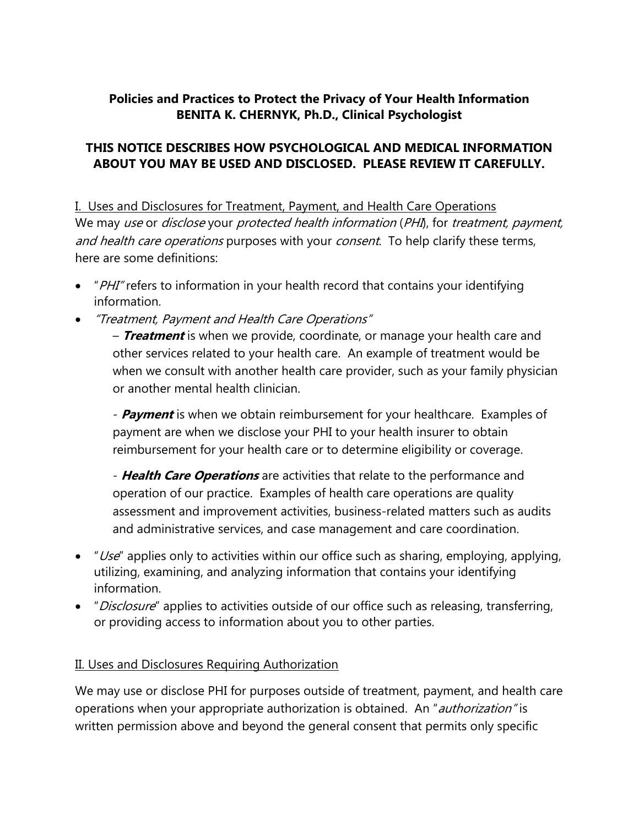### **Policies and Practices to Protect the Privacy of Your Health Information BENITA K. CHERNYK, Ph.D., Clinical Psychologist**

#### **THIS NOTICE DESCRIBES HOW PSYCHOLOGICAL AND MEDICAL INFORMATION ABOUT YOU MAY BE USED AND DISCLOSED. PLEASE REVIEW IT CAREFULLY.**

I. Uses and Disclosures for Treatment, Payment, and Health Care Operations We may use or disclose your protected health information (PHI), for treatment, payment, and health care operations purposes with your consent. To help clarify these terms, here are some definitions:

- "PHI" refers to information in your health record that contains your identifying information.
- "Treatment, Payment and Health Care Operations"

– **Treatment** is when we provide, coordinate, or manage your health care and other services related to your health care. An example of treatment would be when we consult with another health care provider, such as your family physician or another mental health clinician.

- **Payment** is when we obtain reimbursement for your healthcare. Examples of payment are when we disclose your PHI to your health insurer to obtain reimbursement for your health care or to determine eligibility or coverage.

- **Health Care Operations** are activities that relate to the performance and operation of our practice. Examples of health care operations are quality assessment and improvement activities, business-related matters such as audits and administrative services, and case management and care coordination.

- $\bullet$  "Use" applies only to activities within our office such as sharing, employing, applying, utilizing, examining, and analyzing information that contains your identifying information.
- *"Disclosure*" applies to activities outside of our office such as releasing, transferring, or providing access to information about you to other parties.

### II. Uses and Disclosures Requiring Authorization

We may use or disclose PHI for purposes outside of treatment, payment, and health care operations when your appropriate authorization is obtained. An "*authorization*" is written permission above and beyond the general consent that permits only specific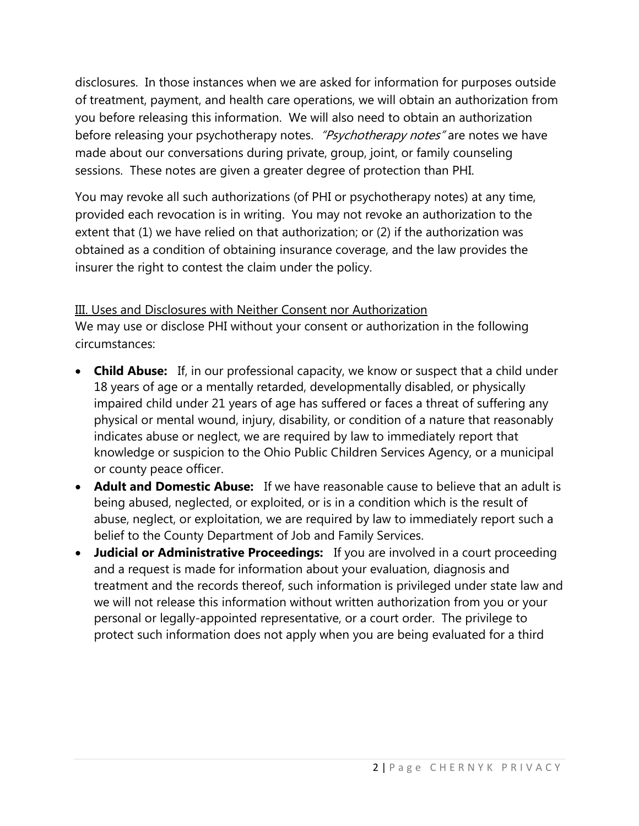disclosures. In those instances when we are asked for information for purposes outside of treatment, payment, and health care operations, we will obtain an authorization from you before releasing this information. We will also need to obtain an authorization before releasing your psychotherapy notes. "Psychotherapy notes" are notes we have made about our conversations during private, group, joint, or family counseling sessions. These notes are given a greater degree of protection than PHI.

You may revoke all such authorizations (of PHI or psychotherapy notes) at any time, provided each revocation is in writing. You may not revoke an authorization to the extent that (1) we have relied on that authorization; or (2) if the authorization was obtained as a condition of obtaining insurance coverage, and the law provides the insurer the right to contest the claim under the policy.

## III. Uses and Disclosures with Neither Consent nor Authorization

We may use or disclose PHI without your consent or authorization in the following circumstances:

- **Child Abuse:** If, in our professional capacity, we know or suspect that a child under 18 years of age or a mentally retarded, developmentally disabled, or physically impaired child under 21 years of age has suffered or faces a threat of suffering any physical or mental wound, injury, disability, or condition of a nature that reasonably indicates abuse or neglect, we are required by law to immediately report that knowledge or suspicion to the Ohio Public Children Services Agency, or a municipal or county peace officer.
- **Adult and Domestic Abuse:** If we have reasonable cause to believe that an adult is being abused, neglected, or exploited, or is in a condition which is the result of abuse, neglect, or exploitation, we are required by law to immediately report such a belief to the County Department of Job and Family Services.
- **Judicial or Administrative Proceedings:** If you are involved in a court proceeding and a request is made for information about your evaluation, diagnosis and treatment and the records thereof, such information is privileged under state law and we will not release this information without written authorization from you or your personal or legally-appointed representative, or a court order. The privilege to protect such information does not apply when you are being evaluated for a third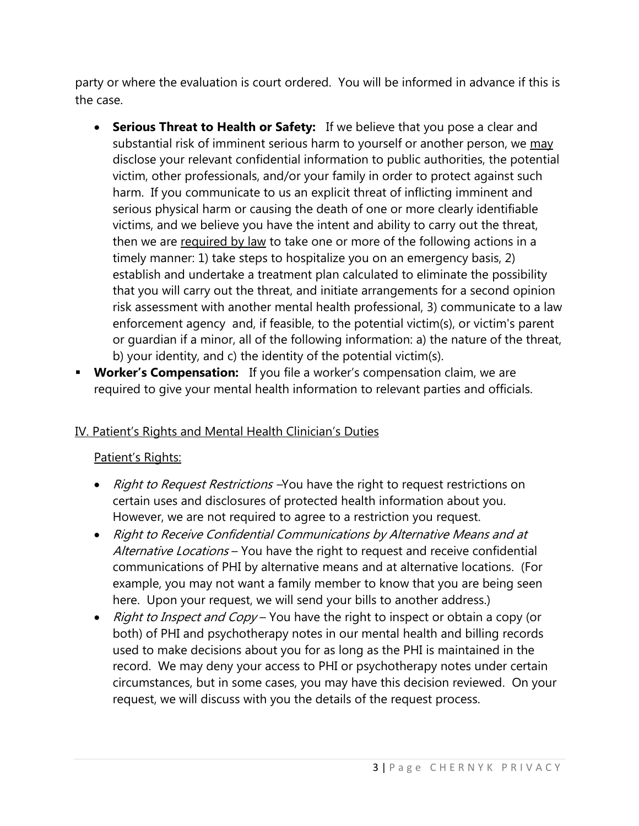party or where the evaluation is court ordered. You will be informed in advance if this is the case.

- **Serious Threat to Health or Safety:** If we believe that you pose a clear and substantial risk of imminent serious harm to yourself or another person, we may disclose your relevant confidential information to public authorities, the potential victim, other professionals, and/or your family in order to protect against such harm. If you communicate to us an explicit threat of inflicting imminent and serious physical harm or causing the death of one or more clearly identifiable victims, and we believe you have the intent and ability to carry out the threat, then we are required by law to take one or more of the following actions in a timely manner: 1) take steps to hospitalize you on an emergency basis, 2) establish and undertake a treatment plan calculated to eliminate the possibility that you will carry out the threat, and initiate arrangements for a second opinion risk assessment with another mental health professional, 3) communicate to a law enforcement agency and, if feasible, to the potential victim(s), or victim's parent or guardian if a minor, all of the following information: a) the nature of the threat, b) your identity, and c) the identity of the potential victim(s).
- **Worker's Compensation:** If you file a worker's compensation claim, we are required to give your mental health information to relevant parties and officials.

# IV. Patient's Rights and Mental Health Clinician's Duties

### Patient's Rights:

- Right to Request Restrictions You have the right to request restrictions on certain uses and disclosures of protected health information about you. However, we are not required to agree to a restriction you request.
- Right to Receive Confidential Communications by Alternative Means and at Alternative Locations - You have the right to request and receive confidential communications of PHI by alternative means and at alternative locations. (For example, you may not want a family member to know that you are being seen here. Upon your request, we will send your bills to another address.)
- Right to Inspect and Copy You have the right to inspect or obtain a copy (or both) of PHI and psychotherapy notes in our mental health and billing records used to make decisions about you for as long as the PHI is maintained in the record. We may deny your access to PHI or psychotherapy notes under certain circumstances, but in some cases, you may have this decision reviewed. On your request, we will discuss with you the details of the request process.